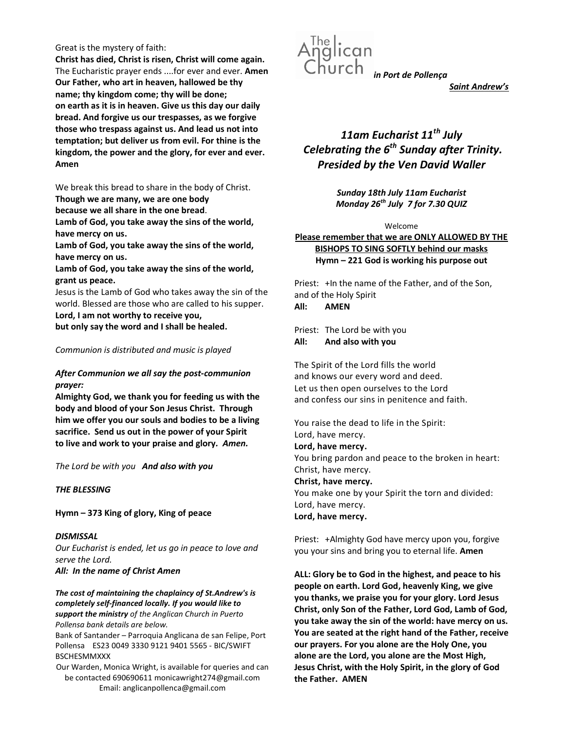### Great is the mystery of faith:

Christ has died, Christ is risen, Christ will come again. The Eucharistic prayer ends ....for ever and ever. Amen Our Father, who art in heaven, hallowed be thy name; thy kingdom come; thy will be done; on earth as it is in heaven. Give us this day our daily bread. And forgive us our trespasses, as we forgive those who trespass against us. And lead us not into temptation; but deliver us from evil. For thine is the kingdom, the power and the glory, for ever and ever. Amen

We break this bread to share in the body of Christ.

Though we are many, we are one body

because we all share in the one bread.

Lamb of God, you take away the sins of the world, have mercy on us.

Lamb of God, you take away the sins of the world, have mercy on us.

Lamb of God, you take away the sins of the world, grant us peace.

Jesus is the Lamb of God who takes away the sin of the world. Blessed are those who are called to his supper. Lord, I am not worthy to receive you,

but only say the word and I shall be healed.

## Communion is distributed and music is played

## After Communion we all say the post-communion prayer:

Almighty God, we thank you for feeding us with the body and blood of your Son Jesus Christ. Through him we offer you our souls and bodies to be a living sacrifice. Send us out in the power of your Spirit to live and work to your praise and glory. Amen.

The Lord be with you And also with you

## THE BLESSING

Hymn – 373 King of glory, King of peace

**DISMISSAL** Our Eucharist is ended, let us go in peace to love and serve the Lord. All: In the name of Christ Amen

The cost of maintaining the chaplaincy of St.Andrew's is completely self-financed locally. If you would like to support the ministry of the Anglican Church in Puerto Pollensa bank details are below.

Bank of Santander – Parroquia Anglicana de san Felipe, Port Pollensa ES23 0049 3330 9121 9401 5565 - BIC/SWIFT BSCHESMMXXX

Our Warden, Monica Wright, is available for queries and can be contacted 690690611 monicawright274@gmail.com Email: anglicanpollenca@gmail.com



Saint Andrew's

# 11am Eucharist  $11^{th}$  July Celebrating the  $6<sup>th</sup>$  Sunday after Trinity. Presided by the Ven David Waller

Sunday 18th July 11am Eucharist Monday  $26^{th}$  July 7 for 7.30 QUIZ

Welcome

Please remember that we are ONLY ALLOWED BY THE BISHOPS TO SING SOFTLY behind our masks Hymn – 221 God is working his purpose out

Priest: +In the name of the Father, and of the Son, and of the Holy Spirit All: AMEN

Priest: The Lord be with you All: And also with you

The Spirit of the Lord fills the world and knows our every word and deed. Let us then open ourselves to the Lord and confess our sins in penitence and faith.

You raise the dead to life in the Spirit: Lord, have mercy. Lord, have mercy. You bring pardon and peace to the broken in heart: Christ, have mercy. Christ, have mercy. You make one by your Spirit the torn and divided: Lord, have mercy. Lord, have mercy.

Priest: +Almighty God have mercy upon you, forgive you your sins and bring you to eternal life. Amen

ALL: Glory be to God in the highest, and peace to his people on earth. Lord God, heavenly King, we give you thanks, we praise you for your glory. Lord Jesus Christ, only Son of the Father, Lord God, Lamb of God, you take away the sin of the world: have mercy on us. You are seated at the right hand of the Father, receive our prayers. For you alone are the Holy One, you alone are the Lord, you alone are the Most High, Jesus Christ, with the Holy Spirit, in the glory of God the Father. AMEN